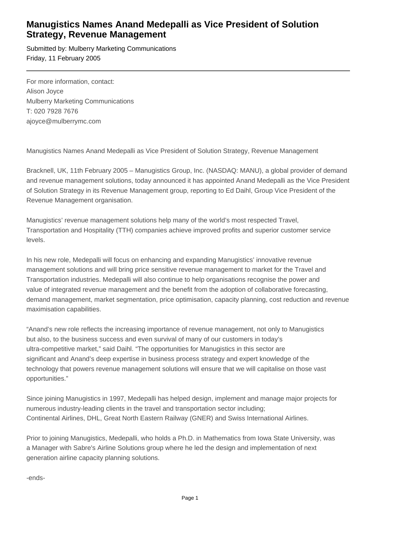## **Manugistics Names Anand Medepalli as Vice President of Solution Strategy, Revenue Management**

Submitted by: Mulberry Marketing Communications Friday, 11 February 2005

For more information, contact: Alison Joyce Mulberry Marketing Communications T: 020 7928 7676 ajoyce@mulberrymc.com

Manugistics Names Anand Medepalli as Vice President of Solution Strategy, Revenue Management

Bracknell, UK, 11th February 2005 – Manugistics Group, Inc. (NASDAQ: MANU), a global provider of demand and revenue management solutions, today announced it has appointed Anand Medepalli as the Vice President of Solution Strategy in its Revenue Management group, reporting to Ed Daihl, Group Vice President of the Revenue Management organisation.

Manugistics' revenue management solutions help many of the world's most respected Travel, Transportation and Hospitality (TTH) companies achieve improved profits and superior customer service levels.

In his new role, Medepalli will focus on enhancing and expanding Manugistics' innovative revenue management solutions and will bring price sensitive revenue management to market for the Travel and Transportation industries. Medepalli will also continue to help organisations recognise the power and value of integrated revenue management and the benefit from the adoption of collaborative forecasting, demand management, market segmentation, price optimisation, capacity planning, cost reduction and revenue maximisation capabilities.

"Anand's new role reflects the increasing importance of revenue management, not only to Manugistics but also, to the business success and even survival of many of our customers in today's ultra-competitive market," said Daihl. "The opportunities for Manugistics in this sector are significant and Anand's deep expertise in business process strategy and expert knowledge of the technology that powers revenue management solutions will ensure that we will capitalise on those vast opportunities."

Since joining Manugistics in 1997, Medepalli has helped design, implement and manage major projects for numerous industry-leading clients in the travel and transportation sector including; Continental Airlines, DHL, Great North Eastern Railway (GNER) and Swiss International Airlines.

Prior to joining Manugistics, Medepalli, who holds a Ph.D. in Mathematics from Iowa State University, was a Manager with Sabre's Airline Solutions group where he led the design and implementation of next generation airline capacity planning solutions.

-ends-